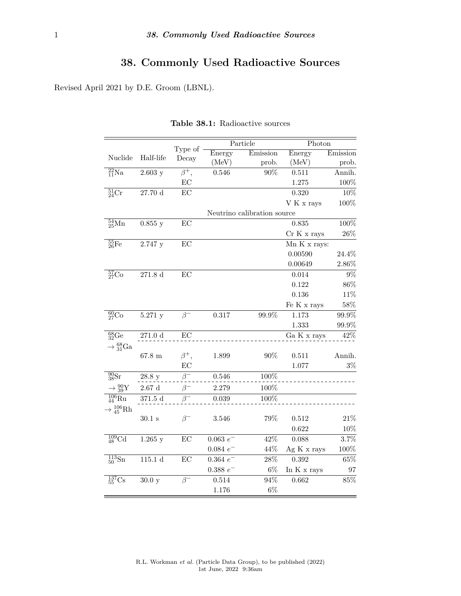## **38. Commonly Used Radioactive Sources**

Revised April 2021 by D.E. Groom (LBNL).

|                                  |                     |            | Particle                    |          | Photon       |          |  |  |
|----------------------------------|---------------------|------------|-----------------------------|----------|--------------|----------|--|--|
| Nuclide                          | Half-life           | Type of    | Energy                      | Emission | Energy       | Emission |  |  |
|                                  |                     | Decay      | (MeV)                       | prob.    | (MeV)        | prob.    |  |  |
| $^{22}_{11}$ Na                  | 2.603y              | $\beta^+,$ | $0.546\,$                   | 90%      | 0.511        | Annih.   |  |  |
|                                  |                     | EC         |                             |          | 1.275        | $100\%$  |  |  |
| $^{51}_{24}Cr$                   | $27.70\ \mathrm{d}$ | EC         |                             |          | 0.320        | $10\%$   |  |  |
|                                  |                     |            |                             |          | V K x rays   | 100%     |  |  |
|                                  |                     |            | Neutrino calibration source |          |              |          |  |  |
| $^{54}_{25}$ Mn                  | 0.855y              | EC         |                             |          | 0.835        | $100\%$  |  |  |
|                                  |                     |            |                             |          | Cr K x rays  | $26\%$   |  |  |
| $^{55}_{26}Fe$                   | 2.747 y             | EC         |                             |          | Mn K x rays: |          |  |  |
|                                  |                     |            |                             |          | 0.00590      | $24.4\%$ |  |  |
|                                  |                     |            |                             |          | 0.00649      | $2.86\%$ |  |  |
| $\frac{57}{27}Co$                | $271.8\ \mathrm{d}$ | EC         |                             |          | 0.014        | $9\%$    |  |  |
|                                  |                     |            |                             |          | 0.122        | $86\%$   |  |  |
|                                  |                     |            |                             |          | $0.136\,$    | 11%      |  |  |
|                                  |                     |            |                             |          | Fe K x rays  | 58%      |  |  |
| $\frac{60}{27}Co$                | 5.271 y             | $\beta^-$  | 0.317                       | 99.9%    | 1.173        | $99.9\%$ |  |  |
|                                  |                     |            |                             |          | 1.333        | $99.9\%$ |  |  |
| $^{68}_{32}Ge$                   | $271.0\ \mathrm{d}$ | $\rm EC$   |                             |          | Ga K x rays  | 42\%     |  |  |
| $\rightarrow \frac{68}{31}Ga$    |                     |            |                             |          |              |          |  |  |
|                                  | $67.8 \text{ m}$    | $\beta^+,$ | 1.899                       | 90%      | 0.511        | Annih.   |  |  |
|                                  |                     | EC         |                             |          | 1.077        | $3\%$    |  |  |
| $\frac{90}{38}$ Sr               | 28.8 y              | $\beta^-$  | 0.546                       | 100%     |              |          |  |  |
| $\rightarrow \frac{90}{39}Y$     | $2.67~\mathrm{d}$   | $\beta^-$  | 2.279                       | 100%     |              |          |  |  |
| $\frac{106}{44}$ Ru              | $371.5\ \mathrm{d}$ |            | 0.039                       | 100%     |              |          |  |  |
| $\rightarrow$ 45 <sup>6</sup> Rh |                     |            |                             |          |              |          |  |  |
|                                  | $30.1$ s            | $\beta^-$  | 3.546                       | 79%      | 0.512        | $21\%$   |  |  |
|                                  |                     |            |                             |          | 0.622        | 10%      |  |  |
| $\frac{109}{48}$ Cd              | $1.265$ y           | EC         | $0.063 e^-$                 | 42%      | 0.088        | $3.7\%$  |  |  |
|                                  |                     |            | $0.084\ e^-$                | 44%      | Ag K x rays  | $100\%$  |  |  |
| $\frac{113}{50}$ Sn              | 115.1d              | EC         | $0.364 e^-$                 | $28\%$   | 0.392        | $65\%$   |  |  |
|                                  |                     |            | $0.388 e^{-}$               | $6\%$    | In K x rays  | 97       |  |  |
| $\frac{137}{55} 2$               | 30.0 y              | $\beta^-$  | 0.514                       | 94%      | 0.662        | $85\%$   |  |  |
|                                  |                     |            | 1.176                       | $6\%$    |              |          |  |  |

**Table 38.1:** Radioactive sources